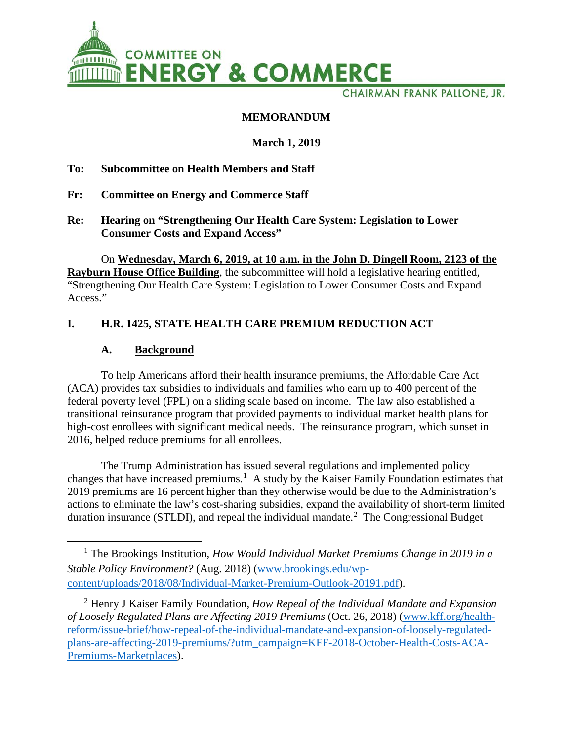

CHAIRMAN FRANK PALLONE, JR.

### **MEMORANDUM**

### **March 1, 2019**

**To: Subcommittee on Health Members and Staff**

- **Fr: Committee on Energy and Commerce Staff**
- **Re: Hearing on "Strengthening Our Health Care System: Legislation to Lower Consumer Costs and Expand Access"**

On **Wednesday, March 6, 2019, at 10 a.m. in the John D. Dingell Room, 2123 of the Rayburn House Office Building**, the subcommittee will hold a legislative hearing entitled, "Strengthening Our Health Care System: Legislation to Lower Consumer Costs and Expand Access."

## **I. H.R. 1425, STATE HEALTH CARE PREMIUM REDUCTION ACT**

### **A. Background**

 $\overline{\phantom{a}}$ 

To help Americans afford their health insurance premiums, the Affordable Care Act (ACA) provides tax subsidies to individuals and families who earn up to 400 percent of the federal poverty level (FPL) on a sliding scale based on income. The law also established a transitional reinsurance program that provided payments to individual market health plans for high-cost enrollees with significant medical needs. The reinsurance program, which sunset in 2016, helped reduce premiums for all enrollees.

The Trump Administration has issued several regulations and implemented policy changes that have increased premiums.<sup>[1](#page-0-0)</sup> A study by the Kaiser Family Foundation estimates that 2019 premiums are 16 percent higher than they otherwise would be due to the Administration's actions to eliminate the law's cost-sharing subsidies, expand the availability of short-term limited duration insurance (STLDI), and repeal the individual mandate.<sup>[2](#page-0-1)</sup> The Congressional Budget

<span id="page-0-0"></span><sup>1</sup> The Brookings Institution, *How Would Individual Market Premiums Change in 2019 in a Stable Policy Environment?* (Aug. 2018) [\(www.brookings.edu/wp](https://www.brookings.edu/wp-content/uploads/2018/08/Individual-Market-Premium-Outlook-20191.pdf)[content/uploads/2018/08/Individual-Market-Premium-Outlook-20191.pdf\)](https://www.brookings.edu/wp-content/uploads/2018/08/Individual-Market-Premium-Outlook-20191.pdf).

<span id="page-0-1"></span><sup>2</sup> Henry J Kaiser Family Foundation, *How Repeal of the Individual Mandate and Expansion of Loosely Regulated Plans are Affecting 2019 Premiums* (Oct. 26, 2018) [\(www.kff.org/health](https://www.kff.org/health-reform/issue-brief/how-repeal-of-the-individual-mandate-and-expansion-of-loosely-regulated-plans-are-affecting-2019-premiums/?utm_campaign=KFF-2018-October-Health-Costs-ACA-Premiums-Marketplaces)[reform/issue-brief/how-repeal-of-the-individual-mandate-and-expansion-of-loosely-regulated](https://www.kff.org/health-reform/issue-brief/how-repeal-of-the-individual-mandate-and-expansion-of-loosely-regulated-plans-are-affecting-2019-premiums/?utm_campaign=KFF-2018-October-Health-Costs-ACA-Premiums-Marketplaces)[plans-are-affecting-2019-premiums/?utm\\_campaign=KFF-2018-October-Health-Costs-ACA-](https://www.kff.org/health-reform/issue-brief/how-repeal-of-the-individual-mandate-and-expansion-of-loosely-regulated-plans-are-affecting-2019-premiums/?utm_campaign=KFF-2018-October-Health-Costs-ACA-Premiums-Marketplaces)[Premiums-Marketplaces\)](https://www.kff.org/health-reform/issue-brief/how-repeal-of-the-individual-mandate-and-expansion-of-loosely-regulated-plans-are-affecting-2019-premiums/?utm_campaign=KFF-2018-October-Health-Costs-ACA-Premiums-Marketplaces).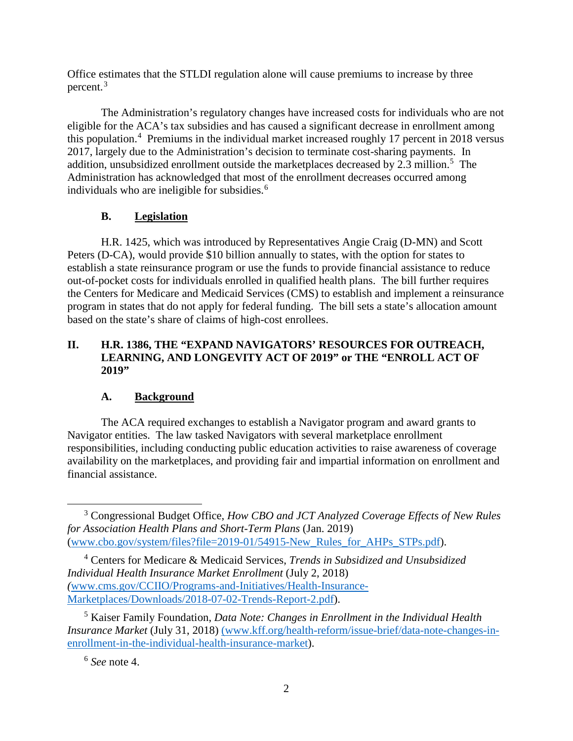Office estimates that the STLDI regulation alone will cause premiums to increase by three percent. [3](#page-1-0)

The Administration's regulatory changes have increased costs for individuals who are not eligible for the ACA's tax subsidies and has caused a significant decrease in enrollment among this population. [4](#page-1-1) Premiums in the individual market increased roughly 17 percent in 2018 versus 2017, largely due to the Administration's decision to terminate cost-sharing payments. In addition, unsubsidized enrollment outside the marketplaces decreased by 2.3 million.<sup>[5](#page-1-2)</sup> The Administration has acknowledged that most of the enrollment decreases occurred among individuals who are ineligible for subsidies.<sup>[6](#page-1-3)</sup>

# **B. Legislation**

H.R. 1425, which was introduced by Representatives Angie Craig (D-MN) and Scott Peters (D-CA), would provide \$10 billion annually to states, with the option for states to establish a state reinsurance program or use the funds to provide financial assistance to reduce out-of-pocket costs for individuals enrolled in qualified health plans. The bill further requires the Centers for Medicare and Medicaid Services (CMS) to establish and implement a reinsurance program in states that do not apply for federal funding. The bill sets a state's allocation amount based on the state's share of claims of high-cost enrollees.

### **II. H.R. 1386, THE "EXPAND NAVIGATORS' RESOURCES FOR OUTREACH, LEARNING, AND LONGEVITY ACT OF 2019" or THE "ENROLL ACT OF 2019"**

### **A. Background**

The ACA required exchanges to establish a Navigator program and award grants to Navigator entities. The law tasked Navigators with several marketplace enrollment responsibilities, including conducting public education activities to raise awareness of coverage availability on the marketplaces, and providing fair and impartial information on enrollment and financial assistance.

l

<span id="page-1-0"></span><sup>3</sup> Congressional Budget Office, *How CBO and JCT Analyzed Coverage Effects of New Rules for Association Health Plans and Short-Term Plans* (Jan. 2019) [\(www.cbo.gov/system/files?file=2019-01/54915-New\\_Rules\\_for\\_AHPs\\_STPs.pdf\)](https://www.cbo.gov/system/files?file=2019-01/54915-New_Rules_for_AHPs_STPs.pdf).

<span id="page-1-1"></span><sup>4</sup> Centers for Medicare & Medicaid Services, *Trends in Subsidized and Unsubsidized Individual Health Insurance Market Enrollment* (July 2, 2018) *(*[www.cms.gov/CCIIO/Programs-and-Initiatives/Health-Insurance-](https://www.cms.gov/CCIIO/Programs-and-Initiatives/Health-Insurance-Marketplaces/Downloads/2018-07-02-Trends-Report-2.pdf)[Marketplaces/Downloads/2018-07-02-Trends-Report-2.pdf\)](https://www.cms.gov/CCIIO/Programs-and-Initiatives/Health-Insurance-Marketplaces/Downloads/2018-07-02-Trends-Report-2.pdf).

<span id="page-1-3"></span><span id="page-1-2"></span><sup>5</sup> Kaiser Family Foundation, *Data Note: Changes in Enrollment in the Individual Health Insurance Market* (July 31, 2018) [\(www.kff.org/health-reform/issue-brief/data-note-changes-in](http://(www.kff.org/health-reform/issue-brief/data-note-changes-in-enrollment-in-the-individual-health-insurance-market)[enrollment-in-the-individual-health-insurance-market\)](http://(www.kff.org/health-reform/issue-brief/data-note-changes-in-enrollment-in-the-individual-health-insurance-market).

<sup>6</sup> *See* note 4.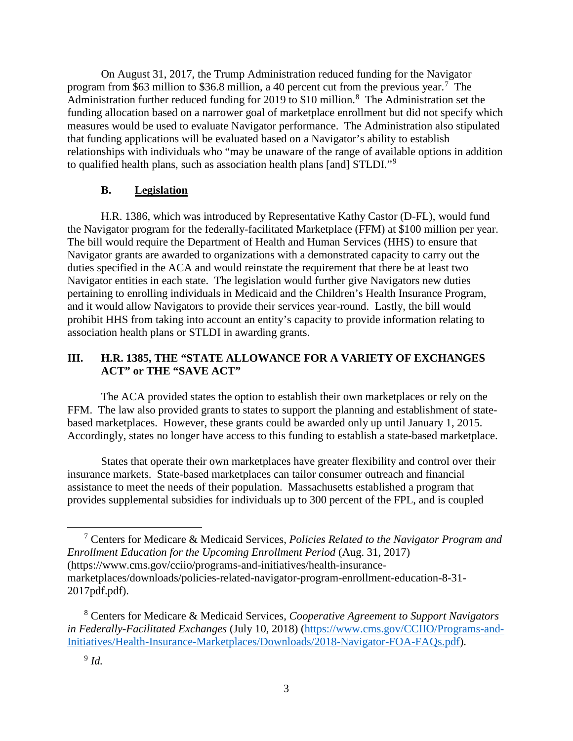On August 31, 2017, the Trump Administration reduced funding for the Navigator program from \$63 million to \$36.8 million, a 40 percent cut from the previous year.<sup>[7](#page-2-0)</sup> The Administration further reduced funding for 2019 to \$10 million.<sup>[8](#page-2-1)</sup> The Administration set the funding allocation based on a narrower goal of marketplace enrollment but did not specify which measures would be used to evaluate Navigator performance. The Administration also stipulated that funding applications will be evaluated based on a Navigator's ability to establish relationships with individuals who "may be unaware of the range of available options in addition to qualified health plans, such as association health plans [and] STLDI."<sup>[9](#page-2-2)</sup>

#### **B. Legislation**

H.R. 1386, which was introduced by Representative Kathy Castor (D-FL), would fund the Navigator program for the federally-facilitated Marketplace (FFM) at \$100 million per year. The bill would require the Department of Health and Human Services (HHS) to ensure that Navigator grants are awarded to organizations with a demonstrated capacity to carry out the duties specified in the ACA and would reinstate the requirement that there be at least two Navigator entities in each state. The legislation would further give Navigators new duties pertaining to enrolling individuals in Medicaid and the Children's Health Insurance Program, and it would allow Navigators to provide their services year-round. Lastly, the bill would prohibit HHS from taking into account an entity's capacity to provide information relating to association health plans or STLDI in awarding grants.

### **III. H.R. 1385, THE "STATE ALLOWANCE FOR A VARIETY OF EXCHANGES ACT" or THE "SAVE ACT"**

The ACA provided states the option to establish their own marketplaces or rely on the FFM. The law also provided grants to states to support the planning and establishment of statebased marketplaces. However, these grants could be awarded only up until January 1, 2015. Accordingly, states no longer have access to this funding to establish a state-based marketplace.

States that operate their own marketplaces have greater flexibility and control over their insurance markets. State-based marketplaces can tailor consumer outreach and financial assistance to meet the needs of their population. Massachusetts established a program that provides supplemental subsidies for individuals up to 300 percent of the FPL, and is coupled

<span id="page-2-0"></span><sup>7</sup> Centers for Medicare & Medicaid Services, *Policies Related to the Navigator Program and Enrollment Education for the Upcoming Enrollment Period* (Aug. 31, 2017) (https://www.cms.gov/cciio/programs-and-initiatives/health-insurancemarketplaces/downloads/policies-related-navigator-program-enrollment-education-8-31- 2017pdf.pdf).

<span id="page-2-2"></span><span id="page-2-1"></span><sup>8</sup> Centers for Medicare & Medicaid Services, *Cooperative Agreement to Support Navigators in Federally-Facilitated Exchanges* (July 10, 2018) [\(https://www.cms.gov/CCIIO/Programs-and-](https://www.cms.gov/CCIIO/Programs-and-Initiatives/Health-Insurance-Marketplaces/Downloads/2018-Navigator-FOA-FAQs.pdf)[Initiatives/Health-Insurance-Marketplaces/Downloads/2018-Navigator-FOA-FAQs.pdf\)](https://www.cms.gov/CCIIO/Programs-and-Initiatives/Health-Insurance-Marketplaces/Downloads/2018-Navigator-FOA-FAQs.pdf).

 $\overline{\phantom{a}}$ 

<sup>9</sup> *Id.*